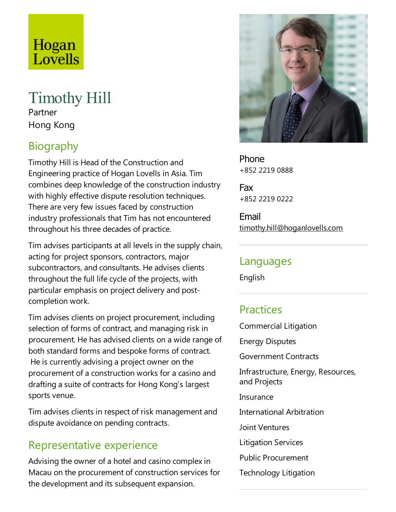# Hogan Lovells

### Timothy Hill Partner

Hong Kong

## Biography

Timothy Hill is Head of the Construction and Engineering practice of Hogan Lovells in Asia.Tim combines deep knowledge of the construction industry with highly effective dispute resolution techniques. There are very few issues faced by construction industry professionals that Tim has not encountered throughout his three decades of practice.

Tim advises participants at all levels in the supply chain, acting for project sponsors, contractors, major subcontractors, and consultants. He advises clients throughout the full life cycle of the projects, with particular emphasis on project delivery and postcompletion work.

Tim advises clients on project procurement, including selection of forms of contract, and managing risk in procurement. He has advised clients on a wide range of both standard forms and bespoke forms of contract. He is currently advising a project owner on the procurement of a construction works for a casino and drafting asuite of contracts for Hong Kong's largest sports venue.

Tim advises clients in respect of risk management and dispute avoidance on pending contracts.

## Representative experience

Advising the owner of a hotel and casino complex in Macau on the procurement of construction services for the development and its subsequent expansion.



Phone +852 2219 0888

Fax +852 2219 0222

Email timothy.hill@hoganlovells.com

#### Languages

English

## **Practices**

Commercial Litigation

Energy Disputes

Government Contracts

Infrastructure, Energy, Resources, and Projects

Insurance

International Arbitration

Joint Ventures

Litigation Services

Public Procurement

Technology Litigation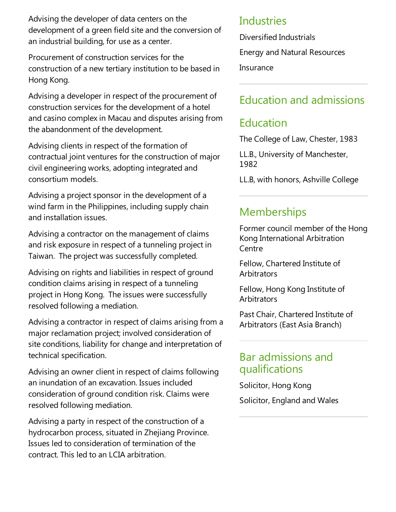Advising the developer of data centers on the development of a green field site and the conversion of an industrial building, for use as a center.

Procurement of construction services for the construction of a new tertiary institution to be based in Hong Kong.

Advising a developer in respect of the procurement of construction services for the development of a hotel and casino complex in Macau and disputes arising from the abandonment of the development.

Advising clients in respect of the formation of contractual joint ventures for the construction of major civil engineering works, adopting integrated and consortium models.

Advising a project sponsor in the development of a wind farm in the Philippines, including supply chain and installation issues.

Advising a contractor on the management of claims and risk exposure in respect of a tunneling project in Taiwan. The project was successfully completed.

Advising on rights and liabilities in respect of ground condition claims arising in respect of a tunneling project in Hong Kong. The issues were successfully resolved following a mediation.

Advising a contractor in respect of claims arising from a major reclamation project; involved consideration of site conditions, liability for change and interpretation of technical specification.

Advising an owner client in respect of claims following an inundation of an excavation. Issues included consideration of ground condition risk. Claims were resolved following mediation.

Advising a party in respect of the construction of a hydrocarbon process, situated in Zhejiang Province. Issues led to consideration of termination of the contract.This led to an LCIA arbitration.

#### Industries

Diversified Industrials Energy and Natural Resources Insurance

## Education and admissions

## **Education**

The College of Law, Chester, 1983

LL.B., University of Manchester, 1982

LL.B, with honors, Ashville College

#### Memberships

Former council member of the Hong Kong International Arbitration Centre

Fellow, Chartered Institute of **Arbitrators** 

Fellow, Hong Kong Institute of **Arbitrators** 

Past Chair, Chartered Institute of Arbitrators (East Asia Branch)

#### Bar admissions and qualifications

Solicitor, Hong Kong Solicitor, England and Wales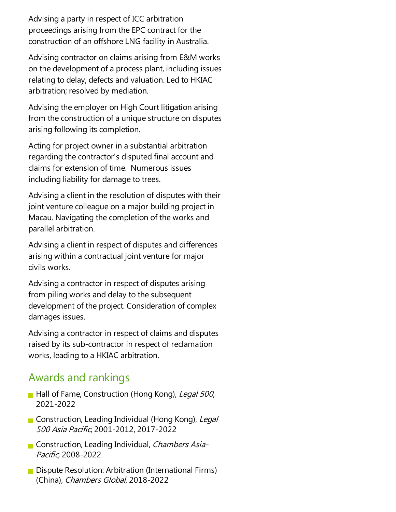Advising a party in respect of ICC arbitration proceedings arising from theEPC contract for the construction of an offshore LNG facility in Australia.

Advising contractor on claims arising from E&M works on the development of a process plant, including issues relating to delay, defects and valuation. Led to HKIAC arbitration; resolved by mediation.

Advising the employer on High Court litigation arising from the construction of a unique structure on disputes arising following its completion.

Acting for project owner in a substantial arbitration regarding the contractor's disputed final account and claims for extension of time. Numerous issues including liability for damage to trees.

Advising a client in the resolution of disputes with their joint venture colleague on a major building project in Macau. Navigating the completion of the works and parallel arbitration.

Advising a client in respect of disputes and differences arising within a contractual joint venture for major civils works.

Advising acontractor in respect of disputes arising from piling works and delay to the subsequent development of the project. Consideration of complex damages issues.

Advising acontractor in respect of claims and disputes raised by its sub-contractor in respect of reclamation works, leading to a HKIAC arbitration.

#### Awards and rankings

- Hall of Fame, Construction (Hong Kong), Legal 500, 2021-2022
- Construction, Leading Individual (Hong Kong), Legal <sup>500</sup> Asia Pacific, 2001-2012, 2017-2022
- Construction, Leading Individual, Chambers Asia-Pacific, 2008-2022
- **Dispute Resolution: Arbitration (International Firms)** (China), Chambers Global, 2018-2022